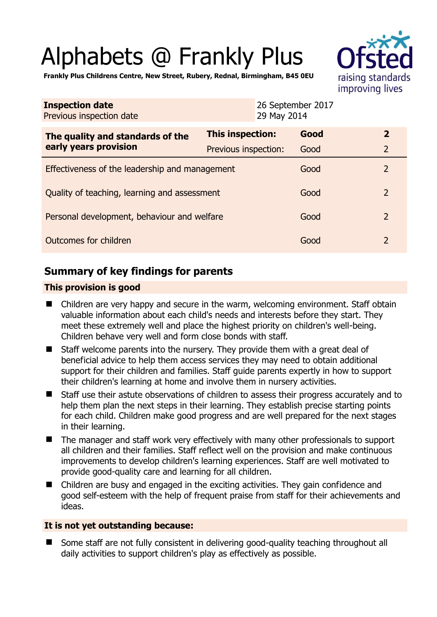# Alphabets @ Frankly Plus



**Frankly Plus Childrens Centre, New Street, Rubery, Rednal, Birmingham, B45 0EU** 

| <b>Inspection date</b><br>Previous inspection date        | 29 May 2014          | 26 September 2017 |                         |
|-----------------------------------------------------------|----------------------|-------------------|-------------------------|
| The quality and standards of the<br>early years provision | This inspection:     | Good              | $\overline{\mathbf{2}}$ |
|                                                           | Previous inspection: | Good              | $\overline{2}$          |
| Effectiveness of the leadership and management            |                      | Good              | $\overline{2}$          |
| Quality of teaching, learning and assessment              |                      | Good              | $\overline{2}$          |
| Personal development, behaviour and welfare               |                      | Good              | $\overline{2}$          |
| Outcomes for children                                     |                      | Good              | $\overline{2}$          |

# **Summary of key findings for parents**

## **This provision is good**

- Children are very happy and secure in the warm, welcoming environment. Staff obtain valuable information about each child's needs and interests before they start. They meet these extremely well and place the highest priority on children's well-being. Children behave very well and form close bonds with staff.
- Staff welcome parents into the nursery. They provide them with a great deal of beneficial advice to help them access services they may need to obtain additional support for their children and families. Staff guide parents expertly in how to support their children's learning at home and involve them in nursery activities.
- Staff use their astute observations of children to assess their progress accurately and to help them plan the next steps in their learning. They establish precise starting points for each child. Children make good progress and are well prepared for the next stages in their learning.
- The manager and staff work very effectively with many other professionals to support all children and their families. Staff reflect well on the provision and make continuous improvements to develop children's learning experiences. Staff are well motivated to provide good-quality care and learning for all children.
- Children are busy and engaged in the exciting activities. They gain confidence and good self-esteem with the help of frequent praise from staff for their achievements and ideas.

## **It is not yet outstanding because:**

■ Some staff are not fully consistent in delivering good-quality teaching throughout all daily activities to support children's play as effectively as possible.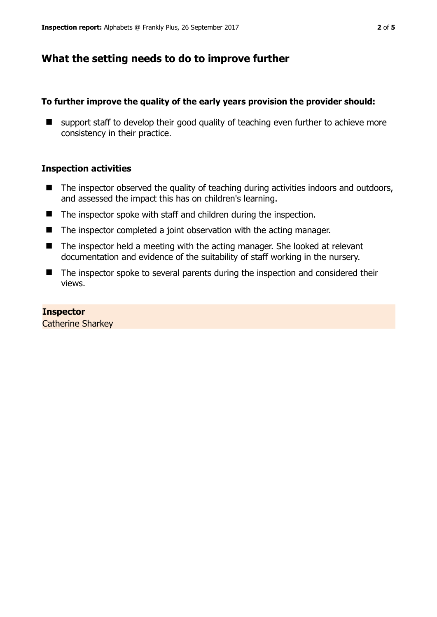# **What the setting needs to do to improve further**

## **To further improve the quality of the early years provision the provider should:**

■ support staff to develop their good quality of teaching even further to achieve more consistency in their practice.

#### **Inspection activities**

- $\blacksquare$  The inspector observed the quality of teaching during activities indoors and outdoors, and assessed the impact this has on children's learning.
- The inspector spoke with staff and children during the inspection.
- $\blacksquare$  The inspector completed a joint observation with the acting manager.
- The inspector held a meeting with the acting manager. She looked at relevant documentation and evidence of the suitability of staff working in the nursery.
- The inspector spoke to several parents during the inspection and considered their views.

## **Inspector**

Catherine Sharkey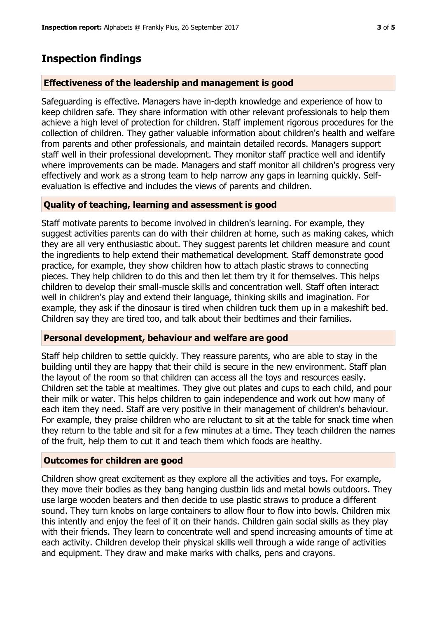## **Inspection findings**

#### **Effectiveness of the leadership and management is good**

Safeguarding is effective. Managers have in-depth knowledge and experience of how to keep children safe. They share information with other relevant professionals to help them achieve a high level of protection for children. Staff implement rigorous procedures for the collection of children. They gather valuable information about children's health and welfare from parents and other professionals, and maintain detailed records. Managers support staff well in their professional development. They monitor staff practice well and identify where improvements can be made. Managers and staff monitor all children's progress very effectively and work as a strong team to help narrow any gaps in learning quickly. Selfevaluation is effective and includes the views of parents and children.

#### **Quality of teaching, learning and assessment is good**

Staff motivate parents to become involved in children's learning. For example, they suggest activities parents can do with their children at home, such as making cakes, which they are all very enthusiastic about. They suggest parents let children measure and count the ingredients to help extend their mathematical development. Staff demonstrate good practice, for example, they show children how to attach plastic straws to connecting pieces. They help children to do this and then let them try it for themselves. This helps children to develop their small-muscle skills and concentration well. Staff often interact well in children's play and extend their language, thinking skills and imagination. For example, they ask if the dinosaur is tired when children tuck them up in a makeshift bed. Children say they are tired too, and talk about their bedtimes and their families.

#### **Personal development, behaviour and welfare are good**

Staff help children to settle quickly. They reassure parents, who are able to stay in the building until they are happy that their child is secure in the new environment. Staff plan the layout of the room so that children can access all the toys and resources easily. Children set the table at mealtimes. They give out plates and cups to each child, and pour their milk or water. This helps children to gain independence and work out how many of each item they need. Staff are very positive in their management of children's behaviour. For example, they praise children who are reluctant to sit at the table for snack time when they return to the table and sit for a few minutes at a time. They teach children the names of the fruit, help them to cut it and teach them which foods are healthy.

#### **Outcomes for children are good**

Children show great excitement as they explore all the activities and toys. For example, they move their bodies as they bang hanging dustbin lids and metal bowls outdoors. They use large wooden beaters and then decide to use plastic straws to produce a different sound. They turn knobs on large containers to allow flour to flow into bowls. Children mix this intently and enjoy the feel of it on their hands. Children gain social skills as they play with their friends. They learn to concentrate well and spend increasing amounts of time at each activity. Children develop their physical skills well through a wide range of activities and equipment. They draw and make marks with chalks, pens and crayons.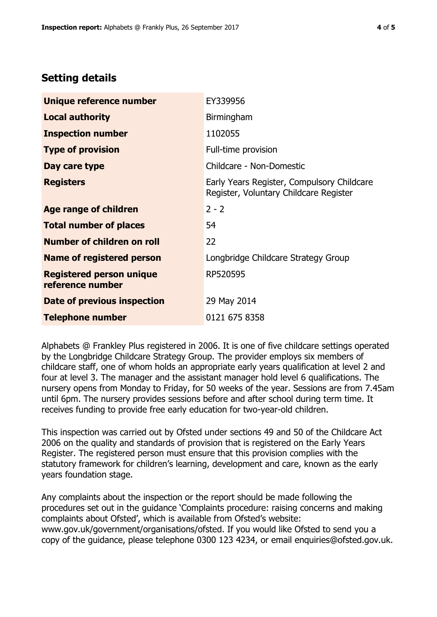# **Setting details**

| Unique reference number                             | EY339956                                                                             |  |
|-----------------------------------------------------|--------------------------------------------------------------------------------------|--|
| <b>Local authority</b>                              | Birmingham                                                                           |  |
| <b>Inspection number</b>                            | 1102055                                                                              |  |
| <b>Type of provision</b>                            | Full-time provision                                                                  |  |
| Day care type                                       | Childcare - Non-Domestic                                                             |  |
| <b>Registers</b>                                    | Early Years Register, Compulsory Childcare<br>Register, Voluntary Childcare Register |  |
| Age range of children                               | $2 - 2$                                                                              |  |
| <b>Total number of places</b>                       | 54                                                                                   |  |
| Number of children on roll                          | 22                                                                                   |  |
| Name of registered person                           | Longbridge Childcare Strategy Group                                                  |  |
| <b>Registered person unique</b><br>reference number | RP520595                                                                             |  |
| <b>Date of previous inspection</b>                  | 29 May 2014                                                                          |  |
| <b>Telephone number</b>                             | 0121 675 8358                                                                        |  |

Alphabets @ Frankley Plus registered in 2006. It is one of five childcare settings operated by the Longbridge Childcare Strategy Group. The provider employs six members of childcare staff, one of whom holds an appropriate early years qualification at level 2 and four at level 3. The manager and the assistant manager hold level 6 qualifications. The nursery opens from Monday to Friday, for 50 weeks of the year. Sessions are from 7.45am until 6pm. The nursery provides sessions before and after school during term time. It receives funding to provide free early education for two-year-old children.

This inspection was carried out by Ofsted under sections 49 and 50 of the Childcare Act 2006 on the quality and standards of provision that is registered on the Early Years Register. The registered person must ensure that this provision complies with the statutory framework for children's learning, development and care, known as the early years foundation stage.

Any complaints about the inspection or the report should be made following the procedures set out in the guidance 'Complaints procedure: raising concerns and making complaints about Ofsted', which is available from Ofsted's website: www.gov.uk/government/organisations/ofsted. If you would like Ofsted to send you a copy of the guidance, please telephone 0300 123 4234, or email enquiries@ofsted.gov.uk.